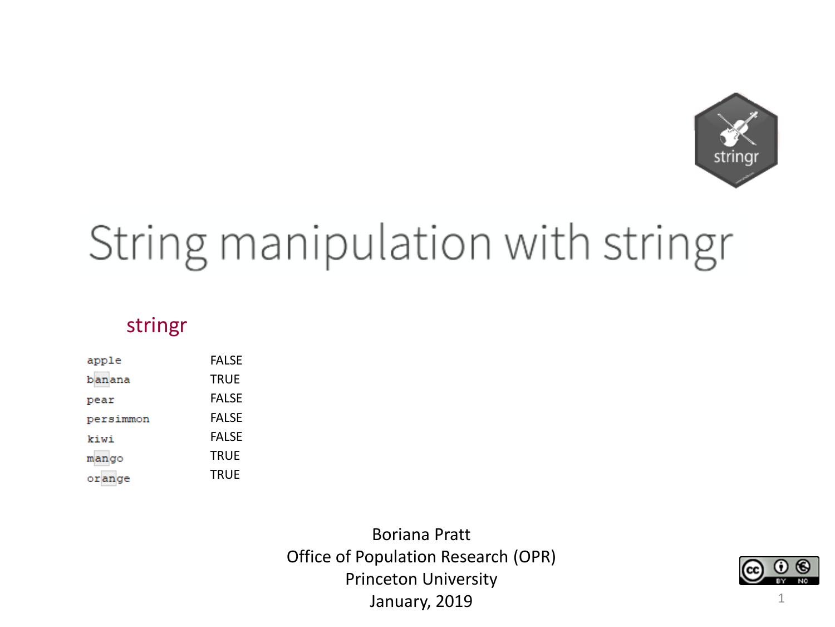

# String manipulation with stringr

#### stringr

| apple     | <b>FALSE</b> |
|-----------|--------------|
| banana    | <b>TRUE</b>  |
| pear      | <b>FALSE</b> |
| persimmon | <b>FALSE</b> |
| kiwi      | <b>FALSE</b> |
| mango     | TRUE         |
| orange    | <b>TRUE</b>  |

Boriana Pratt Office of Population Research (OPR) Princeton University January, 2019



1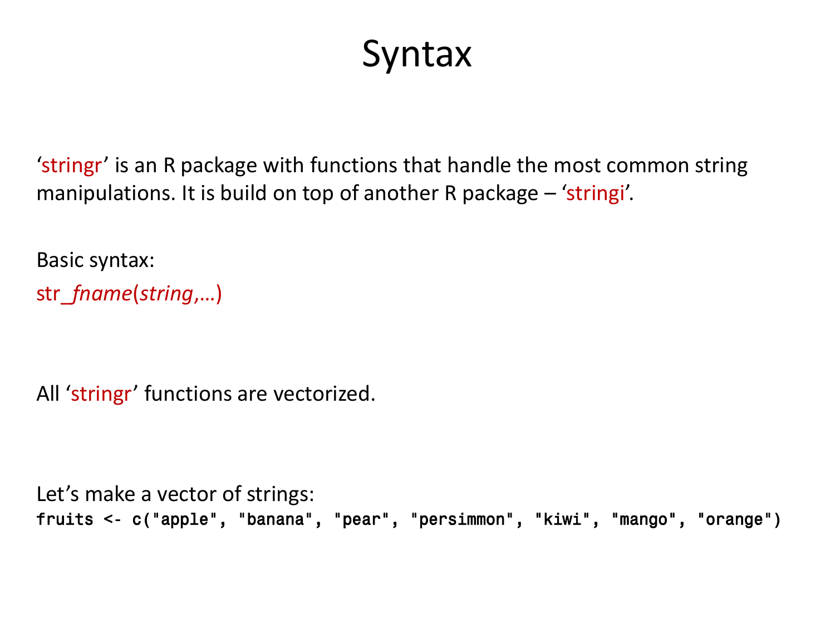#### **Syntax**

'stringr' is an R package with functions that handle the most common string manipulations. It is build on top of another R package – 'stringi'.

Basic syntax: str\_*fname*(*string*,…)

All 'stringr' functions are vectorized.

Let's make a vector of strings: fruits <- c("apple", "banana", "pear", "persimmon", "kiwi", "mango", "orange")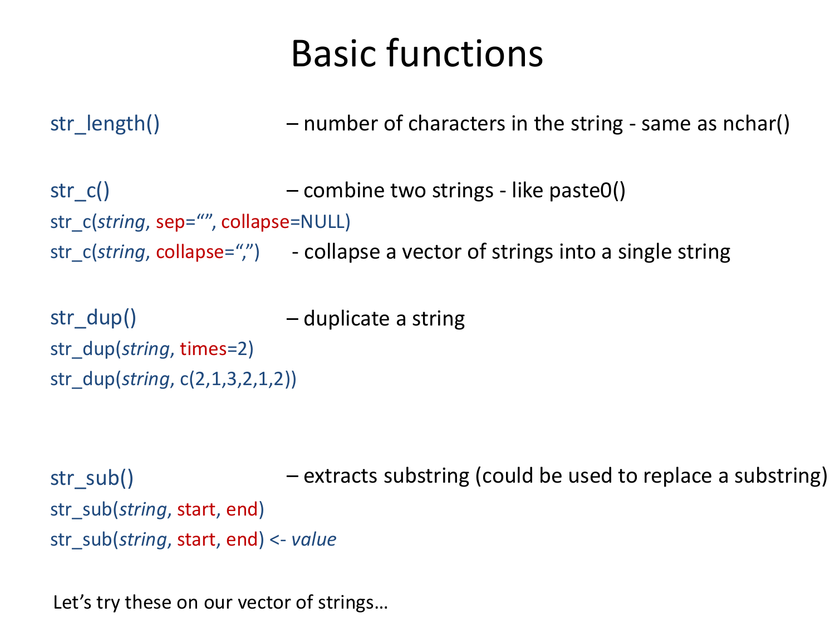#### Basic functions

str\_length() – number of characters in the string - same as nchar()

str $c()$ str\_c(*string*, sep="", collapse=NULL) str\_c(string, collapse=",") - collapse a vector of strings into a single string – combine two strings - like paste0()

str\_dup() str\_dup(*string*, times=2) str\_dup(*string*, c(2,1,3,2,1,2)) – duplicate a string

str\_sub() str\_sub(*string*, start, end) str\_sub(*string*, start, end) <- *value* – extracts substring (could be used to replace a substring)

Let's try these on our vector of strings…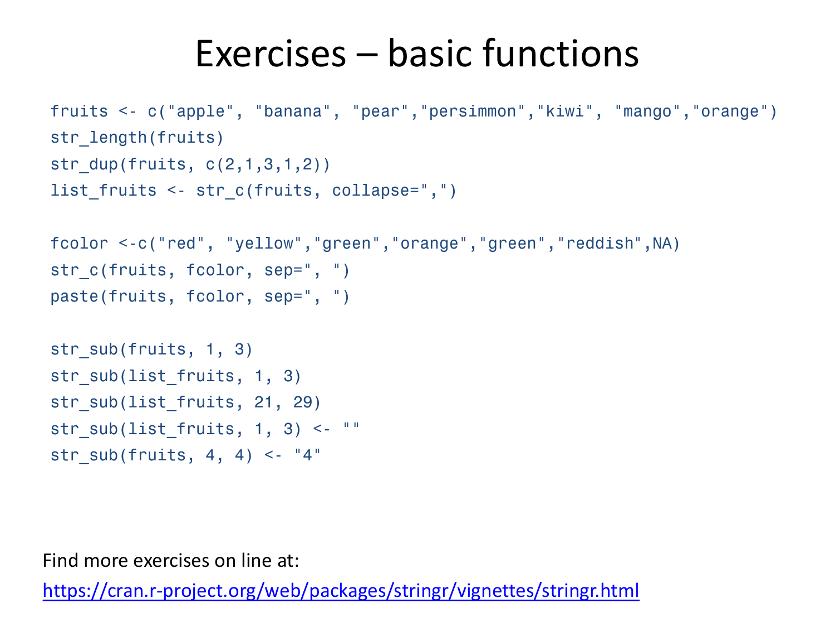#### Exercises – basic functions

```
fruits <- c("apple", "banana", "pear","persimmon","kiwi", "mango","orange")
str length(fruits)
str dup(fruits, c(2,1,3,1,2))
list fruits <- str c(fruits, collapse=",")
fcolor <-c("red", "yellow","green","orange","green","reddish",NA)
str c(fruits, fcolor, sep=", ")
paste(fruits, fcolor, sep=", ")
str sub(fruits, 1, 3)
str sub(list fruits, 1, 3)
str sub(list fruits, 21, 29)
str sub(list fruits, 1, 3) <- "str sub(fruits, 4, 4) <- "4"
```
Find more exercises on line at:

<https://cran.r-project.org/web/packages/stringr/vignettes/stringr.html>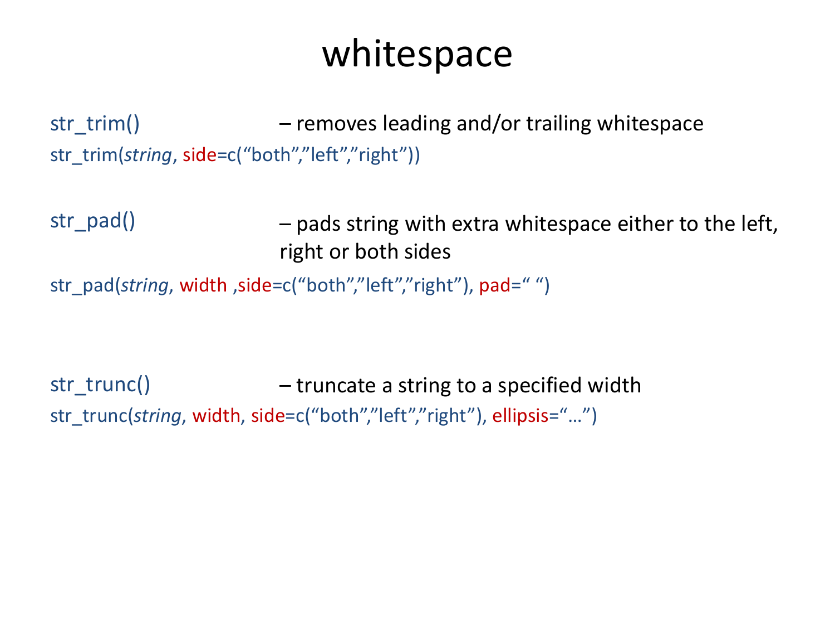#### whitespace

str\_trim() str\_trim(*string*, side=c("both","left","right")) – removes leading and/or trailing whitespace

str\_pad() – pads string with extra whitespace either to the left, right or both sides

```
str_pad(string, width, side=c("both","left","right"), pad="")
```
str\_trunc() str\_trunc(*string*, width, side=c("both","left","right"), ellipsis="...") – truncate a string to a specified width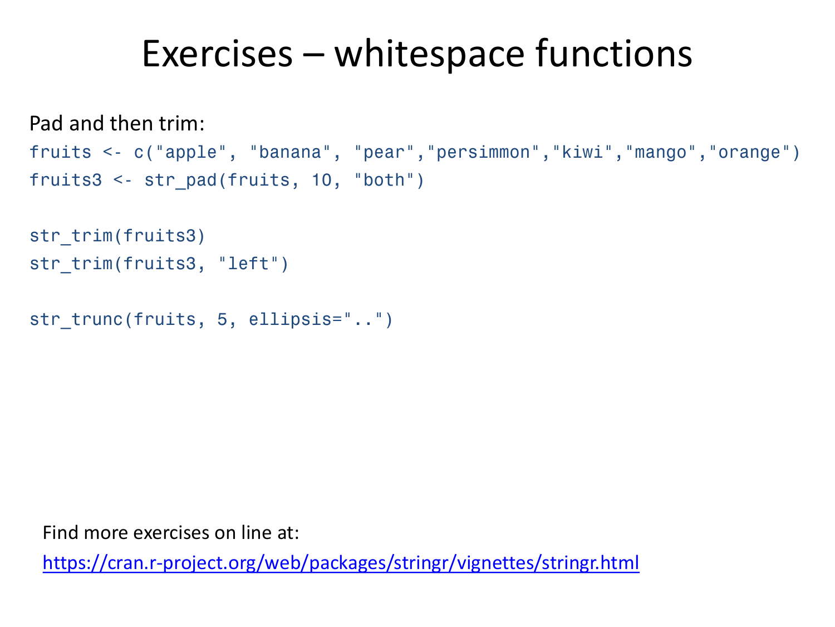#### Exercises – whitespace functions

```
Pad and then trim:
```

```
fruits <- c("apple", "banana", "pear","persimmon","kiwi","mango","orange")
fruits3 <- str_pad(fruits, 10, "both")
```

```
str trim(fruits3)
str trim(fruits3, "left")
```

```
str trunc(fruits, 5, ellipsis="..")
```
Find more exercises on line at:

<https://cran.r-project.org/web/packages/stringr/vignettes/stringr.html>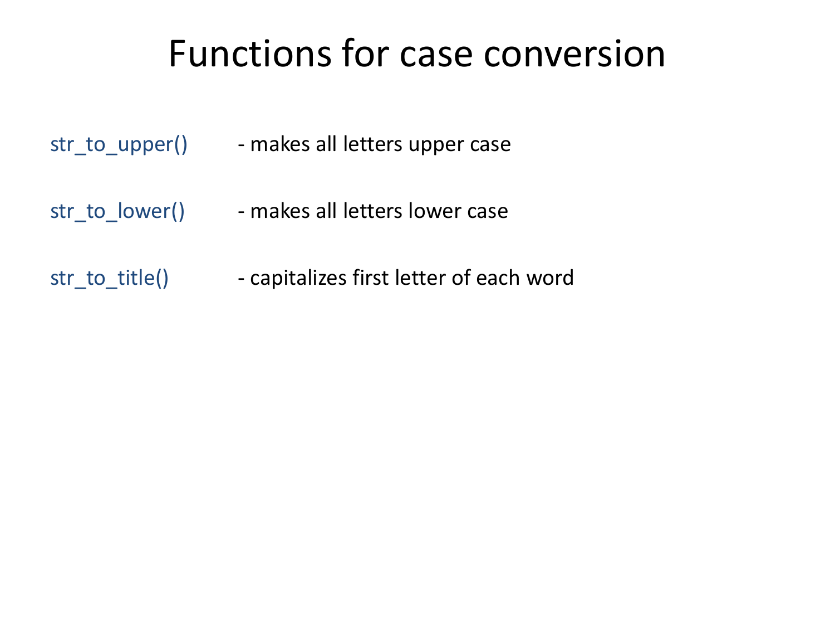#### Functions for case conversion

| str_to_upper() | - makes all letters upper case |
|----------------|--------------------------------|
|----------------|--------------------------------|

- str\_to\_lower() makes all letters lower case
- str\_to\_title() - capitalizes first letter of each word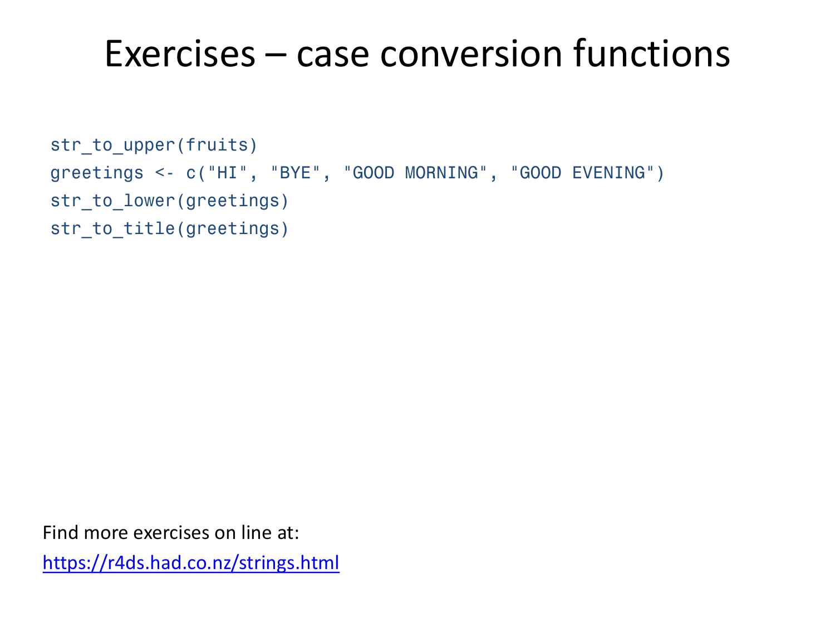#### Exercises – case conversion functions

```
str to upper(fruits)
greetings <- c("HI", "BYE", "GOOD MORNING", "GOOD EVENING")
str to lower(greetings)
str to title(greetings)
```
Find more exercises on line at:

<https://r4ds.had.co.nz/strings.html>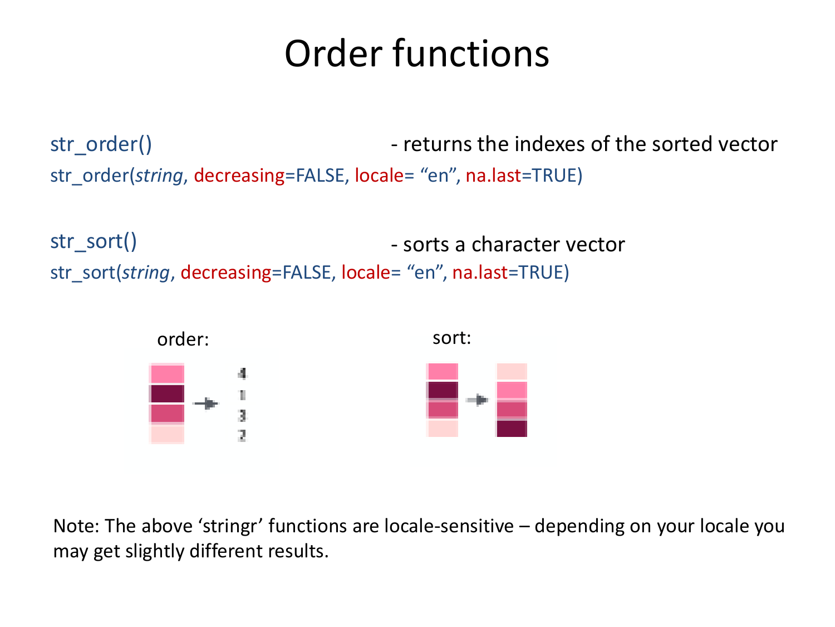#### Order functions

str\_order() str\_order(*string*, decreasing=FALSE, locale= "en", na.last=TRUE) - returns the indexes of the sorted vector

str\_sort() str\_sort(*string*, decreasing=FALSE, locale= "en", na.last=TRUE) - sorts a character vector



Note: The above 'stringr' functions are locale-sensitive – depending on your locale you may get slightly different results.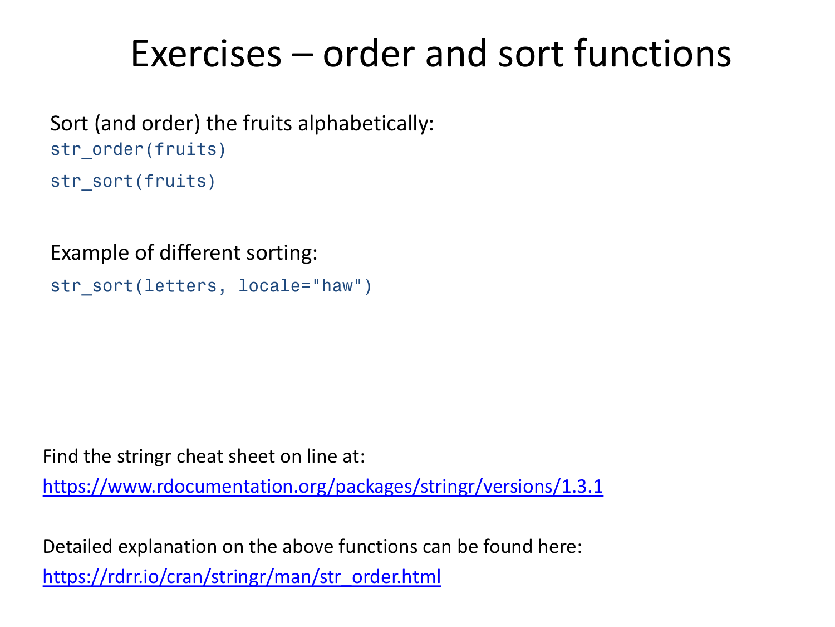#### Exercises – order and sort functions

Sort (and order) the fruits alphabetically: str order(fruits) str sort(fruits)

Example of different sorting:

```
str sort(letters, locale="haw")
```
Find the stringr cheat sheet on line at:

<https://www.rdocumentation.org/packages/stringr/versions/1.3.1>

Detailed explanation on the above functions can be found here: [https://rdrr.io/cran/stringr/man/str\\_order.html](https://rdrr.io/cran/stringr/man/str_order.html)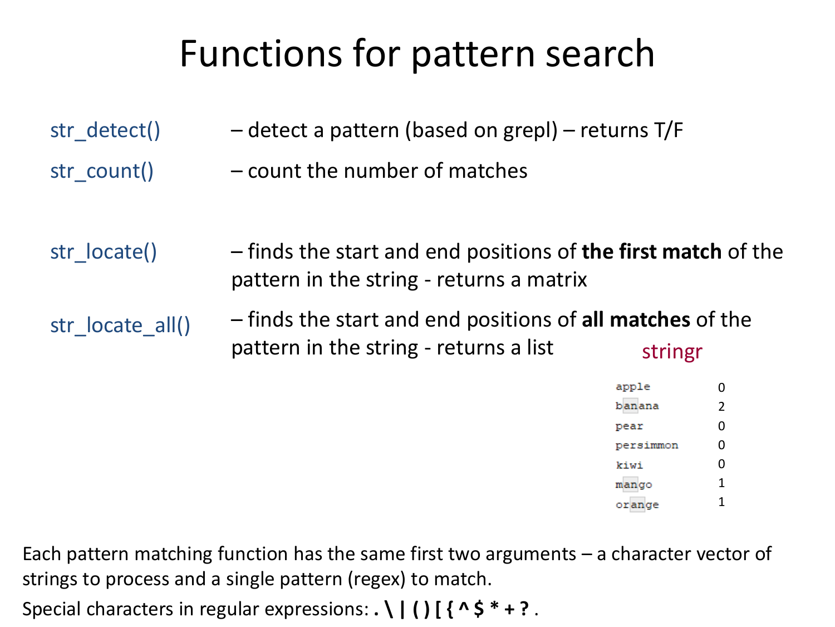## Functions for pattern search

| str detect()     | - detect a pattern (based on grepl) - returns T/F                                                                |           |                |
|------------------|------------------------------------------------------------------------------------------------------------------|-----------|----------------|
| str count()      | - count the number of matches                                                                                    |           |                |
| str locate()     | - finds the start and end positions of <b>the first match</b> of the<br>pattern in the string - returns a matrix |           |                |
| str locate all() | - finds the start and end positions of <b>all matches</b> of the<br>pattern in the string - returns a list       | stringr   |                |
|                  |                                                                                                                  | apple     | 0              |
|                  |                                                                                                                  | banana    | $\overline{2}$ |
|                  |                                                                                                                  | pear      | 0              |
|                  |                                                                                                                  | persimmon | 0              |
|                  |                                                                                                                  | kiwi      | 0              |
|                  |                                                                                                                  | mango     | 1              |
|                  |                                                                                                                  | orange    |                |

Each pattern matching function has the same first two arguments – a character vector of strings to process and a single pattern (regex) to match.

Special characters in regular expressions: **. \ | ( ) [ { ^ \$ \* + ?** .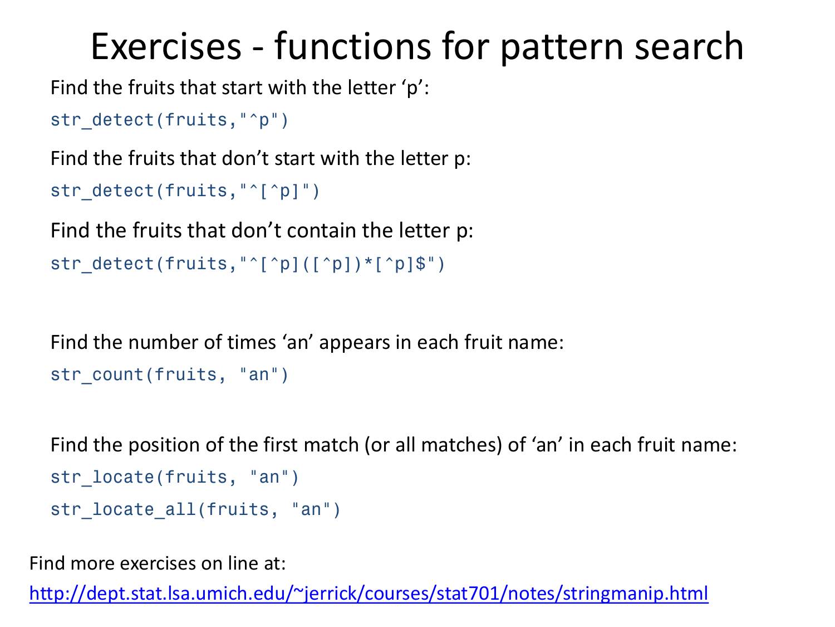#### Exercises - functions for pattern search

Find the fruits that start with the letter 'p':

```
str_detect(fruits,"^p")
```
Find the fruits that don't start with the letter p:

```
str detect(fruits,"^[^p]")
```
Find the fruits that don't contain the letter p:

```
str detect(fruits,"^[^p]([^p])*[^p]$")
```
Find the number of times 'an' appears in each fruit name: str count(fruits, "an")

```
Find the position of the first match (or all matches) of 'an' in each fruit name: 
str locate(fruits, "an")
str locate all(fruits, "an")
```
Find more exercises on line at:

<http://dept.stat.lsa.umich.edu/~jerrick/courses/stat701/notes/stringmanip.html>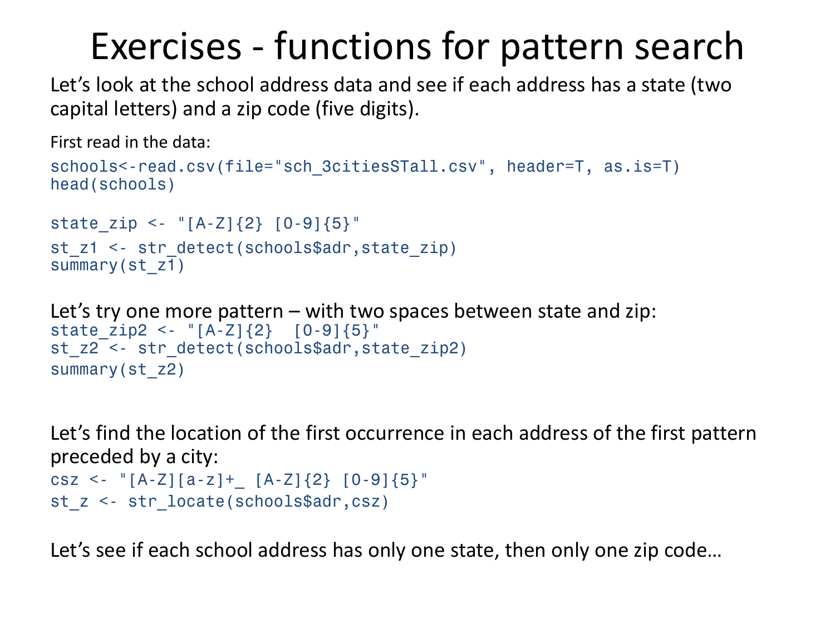#### Exercises - functions for pattern search

Let's look at the school address data and see if each address has a state (two capital letters) and a zip code (five digits).

First read in the data:

```
schools<-read.csv(file="sch_3citiesSTall.csv", header=T, as.is=T)
head(schools)
state zip <- "[A-Z]{2} [0-9]{5}"
```

```
st z1 <- str detect(schools$adr, state zip)
summary(st_z1)
```

```
Let's try one more pattern – with two spaces between state and zip:
state zip2 <- "[A-Z]{2} [0-9]{5}"
st z2 <- str detect(schools$adr, state zip2)
summary(st_z2)
```
Let's find the location of the first occurrence in each address of the first pattern preceded by a city: csz <- "[A-Z][a-z]+ [A-Z]{2} [0-9]{5}" st z <- str locate(schools\$adr,csz)

Let's see if each school address has only one state, then only one zip code…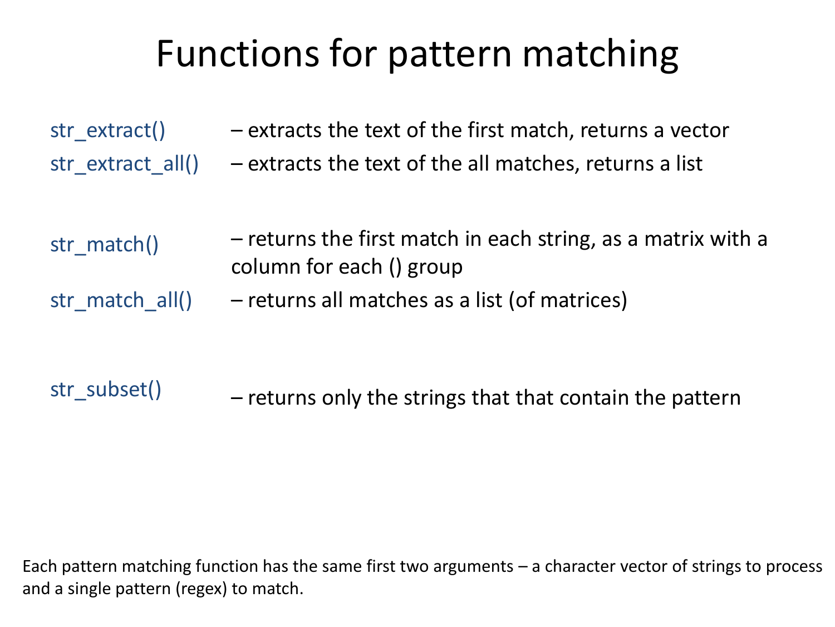## Functions for pattern matching

| str_extract()     | - extracts the text of the first match, returns a vector |
|-------------------|----------------------------------------------------------|
| str extract all() | - extracts the text of the all matches, returns a list   |

| str match() | - returns the first match in each string, as a matrix with a |
|-------------|--------------------------------------------------------------|
|             | column for each () group                                     |

str\_match\_all() – returns all matches as a list (of matrices)

#### str\_subset() – returns only the strings that that contain the pattern

Each pattern matching function has the same first two arguments – a character vector of strings to process and a single pattern (regex) to match.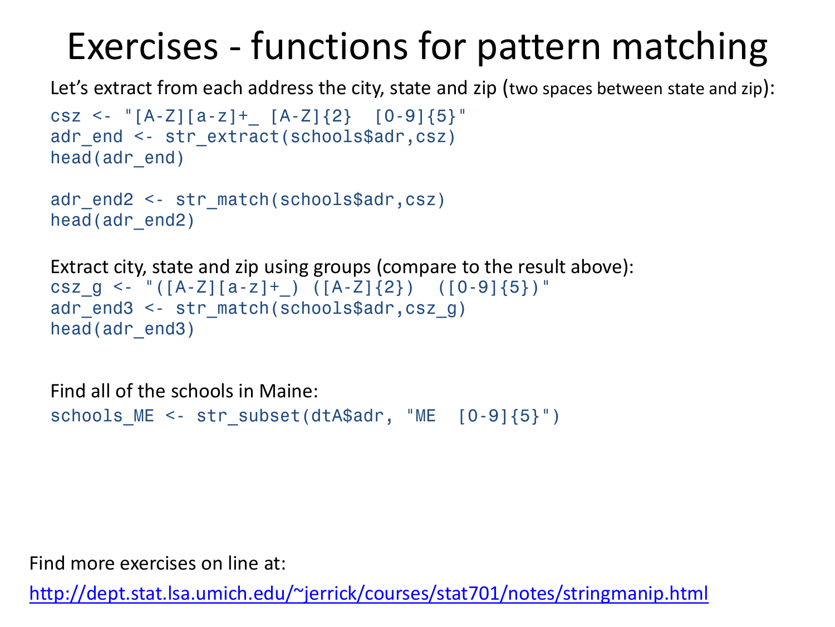## Exercises - functions for pattern matching

Let's extract from each address the city, state and zip (two spaces between state and zip):

```
csz <- "[A-Z][a-z]+ [A-Z]{2} [0-9]{5}"
adr end <- str extract(schools$adr,csz)
head(adr_end)
```

```
adr_end2 <- str_match(schools$adr,csz)
head(adr_end2)
```

```
Extract city, state and zip using groups (compare to the result above):
csz g \le - "([A-Z][a-z]+ ) ([A-Z]{2}) ([0-9]{5})"
adr_end3 <- str_match(schools$adr,csz_g)
head(adr end3)
```
Find all of the schools in Maine: schools ME <- str subset(dtA\$adr, "ME [0-9]{5}")

Find more exercises on line at:

<http://dept.stat.lsa.umich.edu/~jerrick/courses/stat701/notes/stringmanip.html>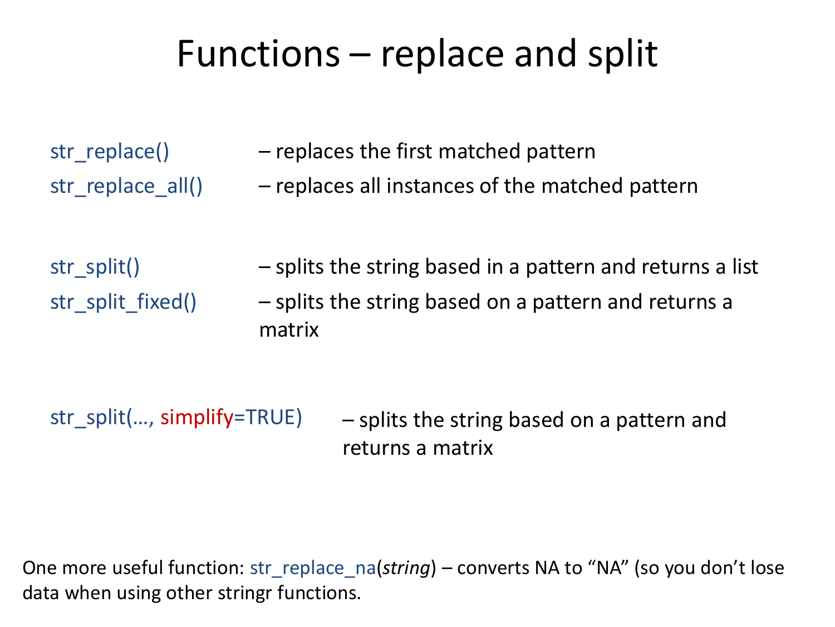#### Functions – replace and split

- str\_replace() str replace all()
- replaces the first matched pattern
- replaces all instances of the matched pattern
- str\_split() str\_split\_fixed() – splits the string based in a pattern and returns a list – splits the string based on a pattern and returns a matrix

```
str_split(..., simplify=TRUE)
                                – splits the string based on a pattern and 
                                 returns a matrix
```
One more useful function: str\_replace\_na(*string*) – converts NA to "NA" (so you don't lose data when using other stringr functions.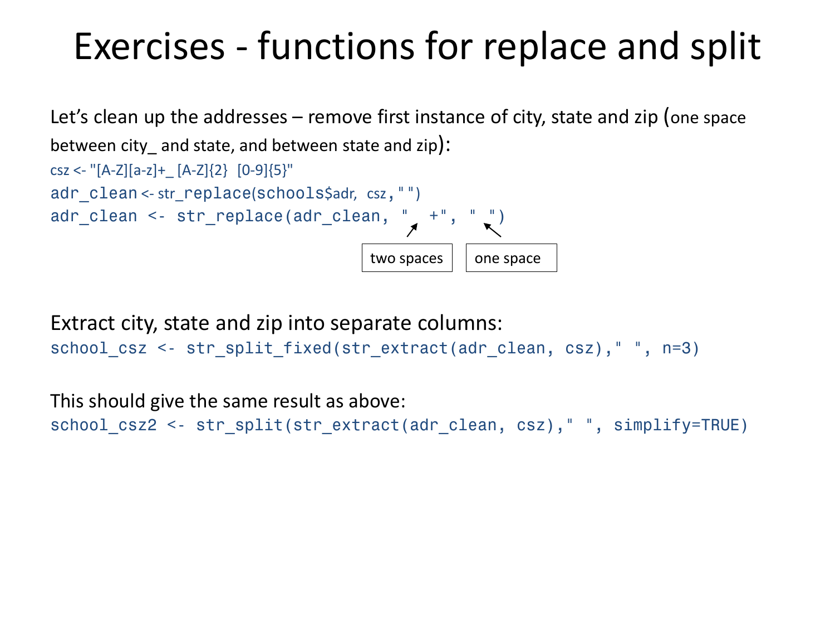#### Exercises - functions for replace and split

```
Let's clean up the addresses – remove first instance of city, state and zip (one space 
between city and state, and between state and zip):
\text{csz} <- "[A-Z][a-z]+ [A-Z]{2} [0-9]{5}"
adr clean <- str_replace(schools$adr, csz, "")
\text{adr\_clean} \leq \text{str\_replace}(\text{adr\_clean}, \text{ " + " , " " })two spaces \vert \ \vert one space
```

```
Extract city, state and zip into separate columns:
school_csz <- str_split_fixed(str_extract(adr_clean, csz)," ", n=3)
```
This should give the same result as above: school\_csz2 <- str\_split(str\_extract(adr\_clean, csz)," ", simplify=TRUE)